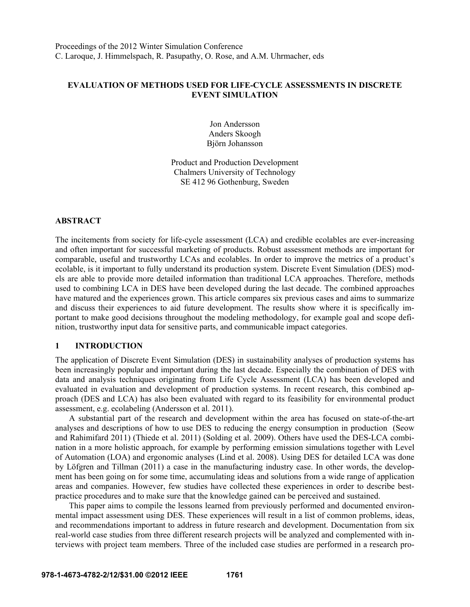## **EVALUATION OF METHODS USED FOR LIFE-CYCLE ASSESSMENTS IN DISCRETE EVENT SIMULATION**

Jon Andersson Anders Skoogh Björn Johansson

Product and Production Development Chalmers University of Technology SE 412 96 Gothenburg, Sweden

#### **ABSTRACT**

The incitements from society for life-cycle assessment (LCA) and credible ecolables are ever-increasing and often important for successful marketing of products. Robust assessment methods are important for comparable, useful and trustworthy LCAs and ecolables. In order to improve the metrics of a product's ecolable, is it important to fully understand its production system. Discrete Event Simulation (DES) models are able to provide more detailed information than traditional LCA approaches. Therefore, methods used to combining LCA in DES have been developed during the last decade. The combined approaches have matured and the experiences grown. This article compares six previous cases and aims to summarize and discuss their experiences to aid future development. The results show where it is specifically important to make good decisions throughout the modeling methodology, for example goal and scope definition, trustworthy input data for sensitive parts, and communicable impact categories.

#### **1 INTRODUCTION**

The application of Discrete Event Simulation (DES) in sustainability analyses of production systems has been increasingly popular and important during the last decade. Especially the combination of DES with data and analysis techniques originating from Life Cycle Assessment (LCA) has been developed and evaluated in evaluation and development of production systems. In recent research, this combined approach (DES and LCA) has also been evaluated with regard to its feasibility for environmental product assessment, e.g. ecolabeling (Andersson et al. 2011).

 A substantial part of the research and development within the area has focused on state-of-the-art analyses and descriptions of how to use DES to reducing the energy consumption in production (Seow and Rahimifard 2011) (Thiede et al. 2011) (Solding et al. 2009). Others have used the DES-LCA combination in a more holistic approach, for example by performing emission simulations together with Level of Automation (LOA) and ergonomic analyses (Lind et al. 2008). Using DES for detailed LCA was done by Löfgren and Tillman (2011) a case in the manufacturing industry case. In other words, the development has been going on for some time, accumulating ideas and solutions from a wide range of application areas and companies. However, few studies have collected these experiences in order to describe bestpractice procedures and to make sure that the knowledge gained can be perceived and sustained.

 This paper aims to compile the lessons learned from previously performed and documented environmental impact assessment using DES. These experiences will result in a list of common problems, ideas, and recommendations important to address in future research and development. Documentation from six real-world case studies from three different research projects will be analyzed and complemented with interviews with project team members. Three of the included case studies are performed in a research pro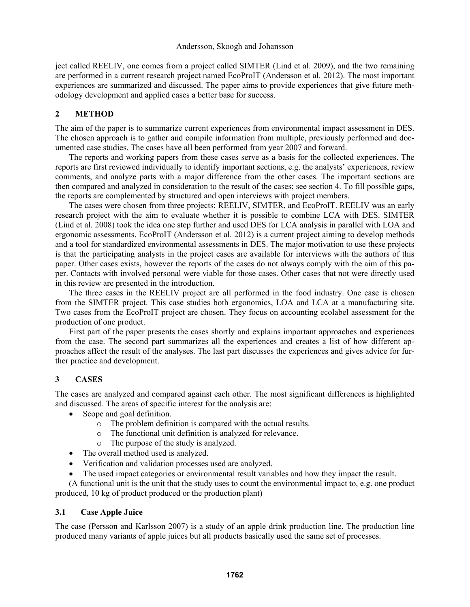ject called REELIV, one comes from a project called SIMTER (Lind et al. 2009), and the two remaining are performed in a current research project named EcoProIT (Andersson et al. 2012). The most important experiences are summarized and discussed. The paper aims to provide experiences that give future methodology development and applied cases a better base for success.

# **2 METHOD**

The aim of the paper is to summarize current experiences from environmental impact assessment in DES. The chosen approach is to gather and compile information from multiple, previously performed and documented case studies. The cases have all been performed from year 2007 and forward.

 The reports and working papers from these cases serve as a basis for the collected experiences. The reports are first reviewed individually to identify important sections, e.g. the analysts' experiences, review comments, and analyze parts with a major difference from the other cases. The important sections are then compared and analyzed in consideration to the result of the cases; see section 4. To fill possible gaps, the reports are complemented by structured and open interviews with project members.

 The cases were chosen from three projects: REELIV, SIMTER, and EcoProIT. REELIV was an early research project with the aim to evaluate whether it is possible to combine LCA with DES. SIMTER (Lind et al. 2008) took the idea one step further and used DES for LCA analysis in parallel with LOA and ergonomic assessments. EcoProIT (Andersson et al. 2012) is a current project aiming to develop methods and a tool for standardized environmental assessments in DES. The major motivation to use these projects is that the participating analysts in the project cases are available for interviews with the authors of this paper. Other cases exists, however the reports of the cases do not always comply with the aim of this paper. Contacts with involved personal were viable for those cases. Other cases that not were directly used in this review are presented in the introduction.

 The three cases in the REELIV project are all performed in the food industry. One case is chosen from the SIMTER project. This case studies both ergonomics, LOA and LCA at a manufacturing site. Two cases from the EcoProIT project are chosen. They focus on accounting ecolabel assessment for the production of one product.

 First part of the paper presents the cases shortly and explains important approaches and experiences from the case. The second part summarizes all the experiences and creates a list of how different approaches affect the result of the analyses. The last part discusses the experiences and gives advice for further practice and development.

# **3 CASES**

The cases are analyzed and compared against each other. The most significant differences is highlighted and discussed. The areas of specific interest for the analysis are:

- Scope and goal definition.
	- o The problem definition is compared with the actual results.
	- o The functional unit definition is analyzed for relevance.
	- o The purpose of the study is analyzed.
- The overall method used is analyzed.
- Verification and validation processes used are analyzed.
- The used impact categories or environmental result variables and how they impact the result.

(A functional unit is the unit that the study uses to count the environmental impact to, e.g. one product produced, 10 kg of product produced or the production plant)

### **3.1 Case Apple Juice**

The case (Persson and Karlsson 2007) is a study of an apple drink production line. The production line produced many variants of apple juices but all products basically used the same set of processes.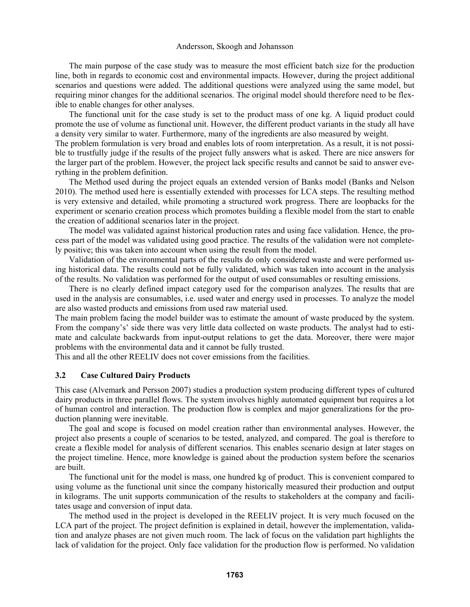The main purpose of the case study was to measure the most efficient batch size for the production line, both in regards to economic cost and environmental impacts. However, during the project additional scenarios and questions were added. The additional questions were analyzed using the same model, but requiring minor changes for the additional scenarios. The original model should therefore need to be flexible to enable changes for other analyses.

 The functional unit for the case study is set to the product mass of one kg. A liquid product could promote the use of volume as functional unit. However, the different product variants in the study all have a density very similar to water. Furthermore, many of the ingredients are also measured by weight.

The problem formulation is very broad and enables lots of room interpretation. As a result, it is not possible to trustfully judge if the results of the project fully answers what is asked. There are nice answers for the larger part of the problem. However, the project lack specific results and cannot be said to answer everything in the problem definition.

 The Method used during the project equals an extended version of Banks model (Banks and Nelson 2010). The method used here is essentially extended with processes for LCA steps. The resulting method is very extensive and detailed, while promoting a structured work progress. There are loopbacks for the experiment or scenario creation process which promotes building a flexible model from the start to enable the creation of additional scenarios later in the project.

 The model was validated against historical production rates and using face validation. Hence, the process part of the model was validated using good practice. The results of the validation were not completely positive; this was taken into account when using the result from the model.

 Validation of the environmental parts of the results do only considered waste and were performed using historical data. The results could not be fully validated, which was taken into account in the analysis of the results. No validation was performed for the output of used consumables or resulting emissions.

 There is no clearly defined impact category used for the comparison analyzes. The results that are used in the analysis are consumables, i.e. used water and energy used in processes. To analyze the model are also wasted products and emissions from used raw material used.

The main problem facing the model builder was to estimate the amount of waste produced by the system. From the company's' side there was very little data collected on waste products. The analyst had to estimate and calculate backwards from input-output relations to get the data. Moreover, there were major problems with the environmental data and it cannot be fully trusted.

This and all the other REELIV does not cover emissions from the facilities.

### **3.2 Case Cultured Dairy Products**

This case (Alvemark and Persson 2007) studies a production system producing different types of cultured dairy products in three parallel flows. The system involves highly automated equipment but requires a lot of human control and interaction. The production flow is complex and major generalizations for the production planning were inevitable.

 The goal and scope is focused on model creation rather than environmental analyses. However, the project also presents a couple of scenarios to be tested, analyzed, and compared. The goal is therefore to create a flexible model for analysis of different scenarios. This enables scenario design at later stages on the project timeline. Hence, more knowledge is gained about the production system before the scenarios are built.

 The functional unit for the model is mass, one hundred kg of product. This is convenient compared to using volume as the functional unit since the company historically measured their production and output in kilograms. The unit supports communication of the results to stakeholders at the company and facilitates usage and conversion of input data.

 The method used in the project is developed in the REELIV project. It is very much focused on the LCA part of the project. The project definition is explained in detail, however the implementation, validation and analyze phases are not given much room. The lack of focus on the validation part highlights the lack of validation for the project. Only face validation for the production flow is performed. No validation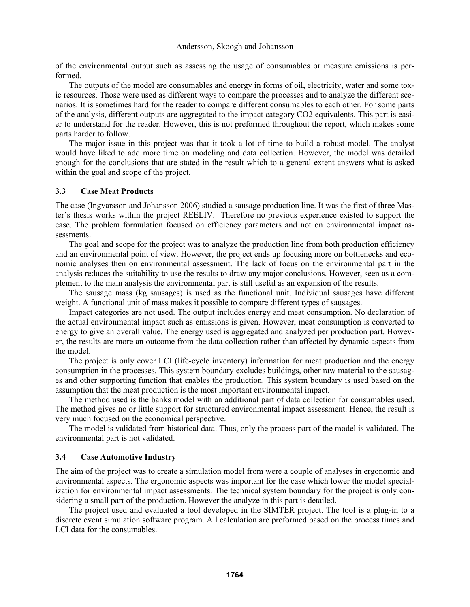of the environmental output such as assessing the usage of consumables or measure emissions is performed.

 The outputs of the model are consumables and energy in forms of oil, electricity, water and some toxic resources. Those were used as different ways to compare the processes and to analyze the different scenarios. It is sometimes hard for the reader to compare different consumables to each other. For some parts of the analysis, different outputs are aggregated to the impact category CO2 equivalents. This part is easier to understand for the reader. However, this is not preformed throughout the report, which makes some parts harder to follow.

 The major issue in this project was that it took a lot of time to build a robust model. The analyst would have liked to add more time on modeling and data collection. However, the model was detailed enough for the conclusions that are stated in the result which to a general extent answers what is asked within the goal and scope of the project.

### **3.3 Case Meat Products**

The case (Ingvarsson and Johansson 2006) studied a sausage production line. It was the first of three Master's thesis works within the project REELIV. Therefore no previous experience existed to support the case. The problem formulation focused on efficiency parameters and not on environmental impact assessments.

 The goal and scope for the project was to analyze the production line from both production efficiency and an environmental point of view. However, the project ends up focusing more on bottlenecks and economic analyses then on environmental assessment. The lack of focus on the environmental part in the analysis reduces the suitability to use the results to draw any major conclusions. However, seen as a complement to the main analysis the environmental part is still useful as an expansion of the results.

 The sausage mass (kg sausages) is used as the functional unit. Individual sausages have different weight. A functional unit of mass makes it possible to compare different types of sausages.

 Impact categories are not used. The output includes energy and meat consumption. No declaration of the actual environmental impact such as emissions is given. However, meat consumption is converted to energy to give an overall value. The energy used is aggregated and analyzed per production part. However, the results are more an outcome from the data collection rather than affected by dynamic aspects from the model.

 The project is only cover LCI (life-cycle inventory) information for meat production and the energy consumption in the processes. This system boundary excludes buildings, other raw material to the sausages and other supporting function that enables the production. This system boundary is used based on the assumption that the meat production is the most important environmental impact.

 The method used is the banks model with an additional part of data collection for consumables used. The method gives no or little support for structured environmental impact assessment. Hence, the result is very much focused on the economical perspective.

 The model is validated from historical data. Thus, only the process part of the model is validated. The environmental part is not validated.

#### **3.4 Case Automotive Industry**

The aim of the project was to create a simulation model from were a couple of analyses in ergonomic and environmental aspects. The ergonomic aspects was important for the case which lower the model specialization for environmental impact assessments. The technical system boundary for the project is only considering a small part of the production. However the analyze in this part is detailed.

 The project used and evaluated a tool developed in the SIMTER project. The tool is a plug-in to a discrete event simulation software program. All calculation are preformed based on the process times and LCI data for the consumables.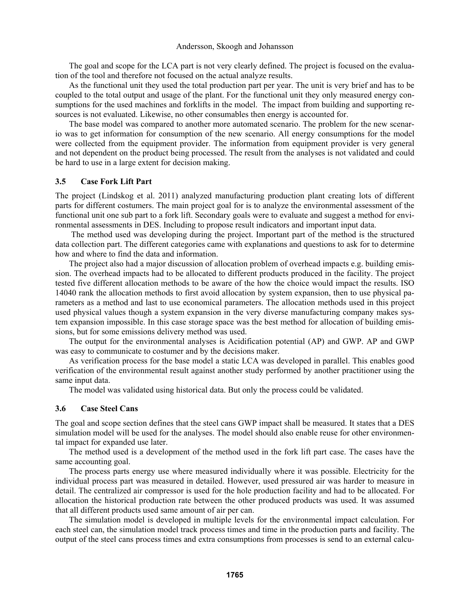The goal and scope for the LCA part is not very clearly defined. The project is focused on the evaluation of the tool and therefore not focused on the actual analyze results.

 As the functional unit they used the total production part per year. The unit is very brief and has to be coupled to the total output and usage of the plant. For the functional unit they only measured energy consumptions for the used machines and forklifts in the model. The impact from building and supporting resources is not evaluated. Likewise, no other consumables then energy is accounted for.

 The base model was compared to another more automated scenario. The problem for the new scenario was to get information for consumption of the new scenario. All energy consumptions for the model were collected from the equipment provider. The information from equipment provider is very general and not dependent on the product being processed. The result from the analyses is not validated and could be hard to use in a large extent for decision making.

#### **3.5 Case Fork Lift Part**

The project (Lindskog et al. 2011) analyzed manufacturing production plant creating lots of different parts for different costumers. The main project goal for is to analyze the environmental assessment of the functional unit one sub part to a fork lift. Secondary goals were to evaluate and suggest a method for environmental assessments in DES. Including to propose result indicators and important input data.

 The method used was developing during the project. Important part of the method is the structured data collection part. The different categories came with explanations and questions to ask for to determine how and where to find the data and information.

 The project also had a major discussion of allocation problem of overhead impacts e.g. building emission. The overhead impacts had to be allocated to different products produced in the facility. The project tested five different allocation methods to be aware of the how the choice would impact the results. ISO 14040 rank the allocation methods to first avoid allocation by system expansion, then to use physical parameters as a method and last to use economical parameters. The allocation methods used in this project used physical values though a system expansion in the very diverse manufacturing company makes system expansion impossible. In this case storage space was the best method for allocation of building emissions, but for some emissions delivery method was used.

 The output for the environmental analyses is Acidification potential (AP) and GWP. AP and GWP was easy to communicate to costumer and by the decisions maker.

 As verification process for the base model a static LCA was developed in parallel. This enables good verification of the environmental result against another study performed by another practitioner using the same input data.

The model was validated using historical data. But only the process could be validated.

#### **3.6 Case Steel Cans**

The goal and scope section defines that the steel cans GWP impact shall be measured. It states that a DES simulation model will be used for the analyses. The model should also enable reuse for other environmental impact for expanded use later.

 The method used is a development of the method used in the fork lift part case. The cases have the same accounting goal.

 The process parts energy use where measured individually where it was possible. Electricity for the individual process part was measured in detailed. However, used pressured air was harder to measure in detail. The centralized air compressor is used for the hole production facility and had to be allocated. For allocation the historical production rate between the other produced products was used. It was assumed that all different products used same amount of air per can.

 The simulation model is developed in multiple levels for the environmental impact calculation. For each steel can, the simulation model track process times and time in the production parts and facility. The output of the steel cans process times and extra consumptions from processes is send to an external calcu-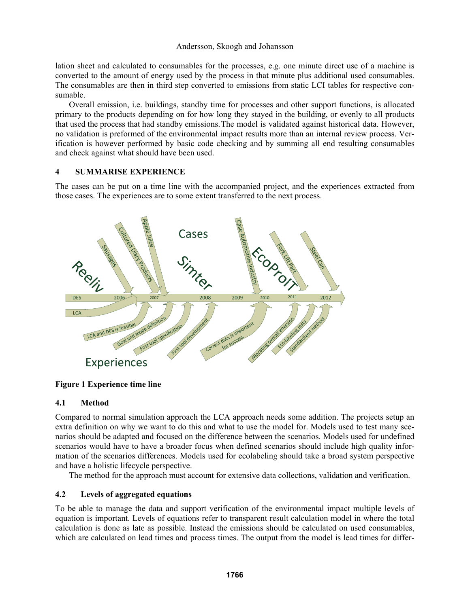lation sheet and calculated to consumables for the processes, e.g. one minute direct use of a machine is converted to the amount of energy used by the process in that minute plus additional used consumables. The consumables are then in third step converted to emissions from static LCI tables for respective consumable.

 Overall emission, i.e. buildings, standby time for processes and other support functions, is allocated primary to the products depending on for how long they stayed in the building, or evenly to all products that used the process that had standby emissions. The model is validated against historical data. However, no validation is preformed of the environmental impact results more than an internal review process. Verification is however performed by basic code checking and by summing all end resulting consumables and check against what should have been used.

### **4 SUMMARISE EXPERIENCE**

The cases can be put on a time line with the accompanied project, and the experiences extracted from those cases. The experiences are to some extent transferred to the next process.



**Figure 1 Experience time line** 

### **4.1 Method**

Compared to normal simulation approach the LCA approach needs some addition. The projects setup an extra definition on why we want to do this and what to use the model for. Models used to test many scenarios should be adapted and focused on the difference between the scenarios. Models used for undefined scenarios would have to have a broader focus when defined scenarios should include high quality information of the scenarios differences. Models used for ecolabeling should take a broad system perspective and have a holistic lifecycle perspective.

The method for the approach must account for extensive data collections, validation and verification.

### **4.2 Levels of aggregated equations**

To be able to manage the data and support verification of the environmental impact multiple levels of equation is important. Levels of equations refer to transparent result calculation model in where the total calculation is done as late as possible. Instead the emissions should be calculated on used consumables, which are calculated on lead times and process times. The output from the model is lead times for differ-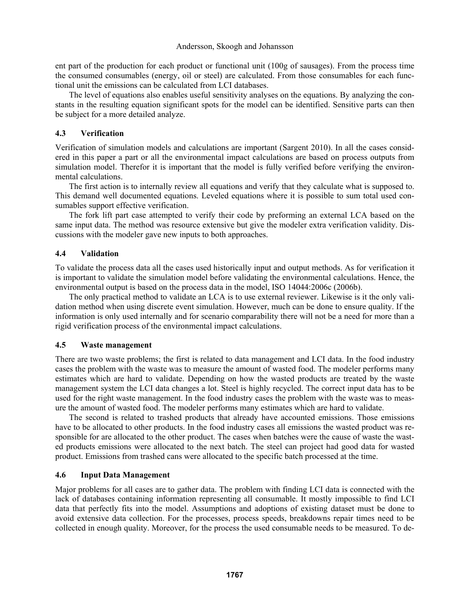ent part of the production for each product or functional unit (100g of sausages). From the process time the consumed consumables (energy, oil or steel) are calculated. From those consumables for each functional unit the emissions can be calculated from LCI databases.

 The level of equations also enables useful sensitivity analyses on the equations. By analyzing the constants in the resulting equation significant spots for the model can be identified. Sensitive parts can then be subject for a more detailed analyze.

## **4.3 Verification**

Verification of simulation models and calculations are important (Sargent 2010). In all the cases considered in this paper a part or all the environmental impact calculations are based on process outputs from simulation model. Therefor it is important that the model is fully verified before verifying the environmental calculations.

 The first action is to internally review all equations and verify that they calculate what is supposed to. This demand well documented equations. Leveled equations where it is possible to sum total used consumables support effective verification.

 The fork lift part case attempted to verify their code by preforming an external LCA based on the same input data. The method was resource extensive but give the modeler extra verification validity. Discussions with the modeler gave new inputs to both approaches.

# **4.4 Validation**

To validate the process data all the cases used historically input and output methods. As for verification it is important to validate the simulation model before validating the environmental calculations. Hence, the environmental output is based on the process data in the model, ISO 14044:2006c (2006b).

 The only practical method to validate an LCA is to use external reviewer. Likewise is it the only validation method when using discrete event simulation. However, much can be done to ensure quality. If the information is only used internally and for scenario comparability there will not be a need for more than a rigid verification process of the environmental impact calculations.

### **4.5 Waste management**

There are two waste problems; the first is related to data management and LCI data. In the food industry cases the problem with the waste was to measure the amount of wasted food. The modeler performs many estimates which are hard to validate. Depending on how the wasted products are treated by the waste management system the LCI data changes a lot. Steel is highly recycled. The correct input data has to be used for the right waste management. In the food industry cases the problem with the waste was to measure the amount of wasted food. The modeler performs many estimates which are hard to validate.

 The second is related to trashed products that already have accounted emissions. Those emissions have to be allocated to other products. In the food industry cases all emissions the wasted product was responsible for are allocated to the other product. The cases when batches were the cause of waste the wasted products emissions were allocated to the next batch. The steel can project had good data for wasted product. Emissions from trashed cans were allocated to the specific batch processed at the time.

# **4.6 Input Data Management**

Major problems for all cases are to gather data. The problem with finding LCI data is connected with the lack of databases containing information representing all consumable. It mostly impossible to find LCI data that perfectly fits into the model. Assumptions and adoptions of existing dataset must be done to avoid extensive data collection. For the processes, process speeds, breakdowns repair times need to be collected in enough quality. Moreover, for the process the used consumable needs to be measured. To de-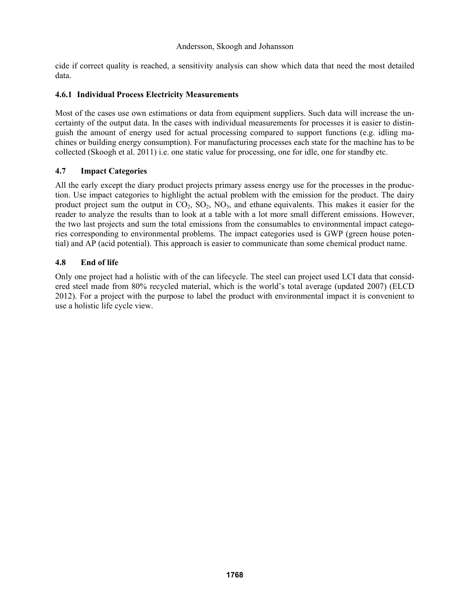cide if correct quality is reached, a sensitivity analysis can show which data that need the most detailed data.

### **4.6.1 Individual Process Electricity Measurements**

Most of the cases use own estimations or data from equipment suppliers. Such data will increase the uncertainty of the output data. In the cases with individual measurements for processes it is easier to distinguish the amount of energy used for actual processing compared to support functions (e.g. idling machines or building energy consumption). For manufacturing processes each state for the machine has to be collected (Skoogh et al. 2011) i.e. one static value for processing, one for idle, one for standby etc.

### **4.7 Impact Categories**

All the early except the diary product projects primary assess energy use for the processes in the production. Use impact categories to highlight the actual problem with the emission for the product. The dairy product project sum the output in  $CO_2$ ,  $SO_2$ ,  $NO_3$ , and ethane equivalents. This makes it easier for the reader to analyze the results than to look at a table with a lot more small different emissions. However, the two last projects and sum the total emissions from the consumables to environmental impact categories corresponding to environmental problems. The impact categories used is GWP (green house potential) and AP (acid potential). This approach is easier to communicate than some chemical product name.

### **4.8 End of life**

Only one project had a holistic with of the can lifecycle. The steel can project used LCI data that considered steel made from 80% recycled material, which is the world's total average (updated 2007) (ELCD 2012). For a project with the purpose to label the product with environmental impact it is convenient to use a holistic life cycle view.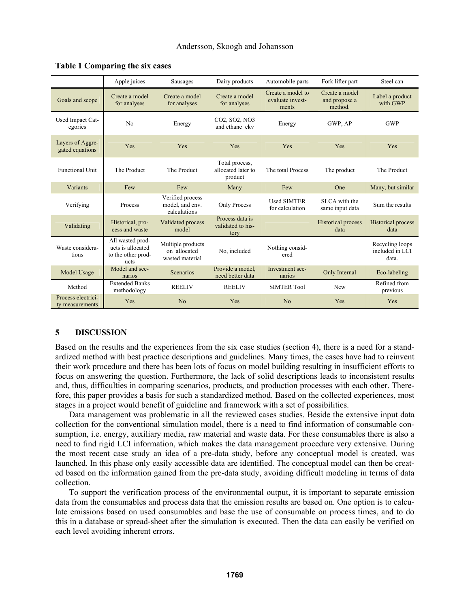|                                       | Apple juices                                                        | Sausages                                             | Dairy products                                  | Automobile parts                               | Fork lifter part                           | Steel can                                   |
|---------------------------------------|---------------------------------------------------------------------|------------------------------------------------------|-------------------------------------------------|------------------------------------------------|--------------------------------------------|---------------------------------------------|
| Goals and scope                       | Create a model<br>for analyses                                      | Create a model<br>for analyses                       | Create a model<br>for analyses                  | Create a model to<br>evaluate invest-<br>ments | Create a model<br>and propose a<br>method. | Label a product<br>with GWP                 |
| Used Impact Cat-<br>egories           | No                                                                  | Energy                                               | CO2, SO2, NO3<br>and ethane ekv                 | Energy                                         | GWP, AP                                    | <b>GWP</b>                                  |
| Layers of Aggre-<br>gated equations   | Yes                                                                 | Yes                                                  | Yes                                             | Yes                                            | Yes                                        | Yes                                         |
| <b>Functional Unit</b>                | The Product                                                         | The Product                                          | Total process,<br>allocated later to<br>product | The total Process                              | The product                                | The Product                                 |
| Variants                              | Few                                                                 | Few                                                  | Many                                            | Few                                            | One                                        | Many, but similar                           |
| Verifying                             | Process                                                             | Verified process<br>model, and env.<br>calculations  | Only Process                                    | <b>Used SIMTER</b><br>for calculation          | SLCA with the<br>same input data           | Sum the results                             |
| Validating                            | Historical, pro-<br>cess and waste                                  | Validated process<br>model                           | Process data is<br>validated to his-<br>tory    |                                                | <b>Historical process</b><br>data          | Historical process<br>data                  |
| Waste considera-<br>tions             | All wasted prod-<br>ucts is allocated<br>to the other prod-<br>ucts | Multiple products<br>on allocated<br>wasted material | No. included                                    | Nothing consid-<br>ered                        |                                            | Recycling loops<br>included in LCI<br>data. |
| Model Usage                           | Model and sce-<br>narios                                            | Scenarios                                            | Provide a model.<br>need better data            | Investment sce-<br>narios                      | Only Internal                              | Eco-labeling                                |
| Method                                | <b>Extended Banks</b><br>methodology                                | <b>REELIV</b>                                        | <b>REELIV</b>                                   | <b>SIMTER Tool</b>                             | New                                        | Refined from<br>previous                    |
| Process electrici-<br>ty measurements | Yes                                                                 | N <sub>o</sub>                                       | Yes                                             | No                                             | Yes                                        | Yes                                         |

#### **Table 1 Comparing the six cases**

### **5 DISCUSSION**

Based on the results and the experiences from the six case studies (section 4), there is a need for a standardized method with best practice descriptions and guidelines. Many times, the cases have had to reinvent their work procedure and there has been lots of focus on model building resulting in insufficient efforts to focus on answering the question. Furthermore, the lack of solid descriptions leads to inconsistent results and, thus, difficulties in comparing scenarios, products, and production processes with each other. Therefore, this paper provides a basis for such a standardized method. Based on the collected experiences, most stages in a project would benefit of guideline and framework with a set of possibilities.

 Data management was problematic in all the reviewed cases studies. Beside the extensive input data collection for the conventional simulation model, there is a need to find information of consumable consumption, i.e. energy, auxiliary media, raw material and waste data. For these consumables there is also a need to find rigid LCI information, which makes the data management procedure very extensive. During the most recent case study an idea of a pre-data study, before any conceptual model is created, was launched. In this phase only easily accessible data are identified. The conceptual model can then be created based on the information gained from the pre-data study, avoiding difficult modeling in terms of data collection.

 To support the verification process of the environmental output, it is important to separate emission data from the consumables and process data that the emission results are based on. One option is to calculate emissions based on used consumables and base the use of consumable on process times, and to do this in a database or spread-sheet after the simulation is executed. Then the data can easily be verified on each level avoiding inherent errors.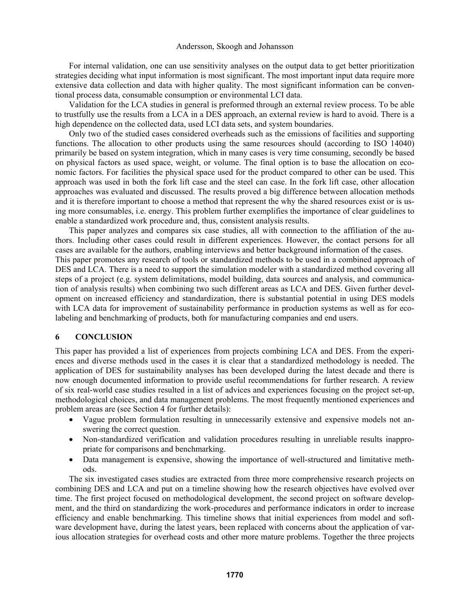For internal validation, one can use sensitivity analyses on the output data to get better prioritization strategies deciding what input information is most significant. The most important input data require more extensive data collection and data with higher quality. The most significant information can be conventional process data, consumable consumption or environmental LCI data.

 Validation for the LCA studies in general is preformed through an external review process. To be able to trustfully use the results from a LCA in a DES approach, an external review is hard to avoid. There is a high dependence on the collected data, used LCI data sets, and system boundaries.

 Only two of the studied cases considered overheads such as the emissions of facilities and supporting functions. The allocation to other products using the same resources should (according to ISO 14040) primarily be based on system integration, which in many cases is very time consuming, secondly be based on physical factors as used space, weight, or volume. The final option is to base the allocation on economic factors. For facilities the physical space used for the product compared to other can be used. This approach was used in both the fork lift case and the steel can case. In the fork lift case, other allocation approaches was evaluated and discussed. The results proved a big difference between allocation methods and it is therefore important to choose a method that represent the why the shared resources exist or is using more consumables, i.e. energy. This problem further exemplifies the importance of clear guidelines to enable a standardized work procedure and, thus, consistent analysis results.

 This paper analyzes and compares six case studies, all with connection to the affiliation of the authors. Including other cases could result in different experiences. However, the contact persons for all cases are available for the authors, enabling interviews and better background information of the cases. This paper promotes any research of tools or standardized methods to be used in a combined approach of DES and LCA. There is a need to support the simulation modeler with a standardized method covering all

steps of a project (e.g. system delimitations, model building, data sources and analysis, and communication of analysis results) when combining two such different areas as LCA and DES. Given further development on increased efficiency and standardization, there is substantial potential in using DES models with LCA data for improvement of sustainability performance in production systems as well as for ecolabeling and benchmarking of products, both for manufacturing companies and end users.

#### **6 CONCLUSION**

This paper has provided a list of experiences from projects combining LCA and DES. From the experiences and diverse methods used in the cases it is clear that a standardized methodology is needed. The application of DES for sustainability analyses has been developed during the latest decade and there is now enough documented information to provide useful recommendations for further research. A review of six real-world case studies resulted in a list of advices and experiences focusing on the project set-up, methodological choices, and data management problems. The most frequently mentioned experiences and problem areas are (see Section 4 for further details):

- Vague problem formulation resulting in unnecessarily extensive and expensive models not answering the correct question.
- Non-standardized verification and validation procedures resulting in unreliable results inappropriate for comparisons and benchmarking.
- Data management is expensive, showing the importance of well-structured and limitative methods.

 The six investigated cases studies are extracted from three more comprehensive research projects on combining DES and LCA and put on a timeline showing how the research objectives have evolved over time. The first project focused on methodological development, the second project on software development, and the third on standardizing the work-procedures and performance indicators in order to increase efficiency and enable benchmarking. This timeline shows that initial experiences from model and software development have, during the latest years, been replaced with concerns about the application of various allocation strategies for overhead costs and other more mature problems. Together the three projects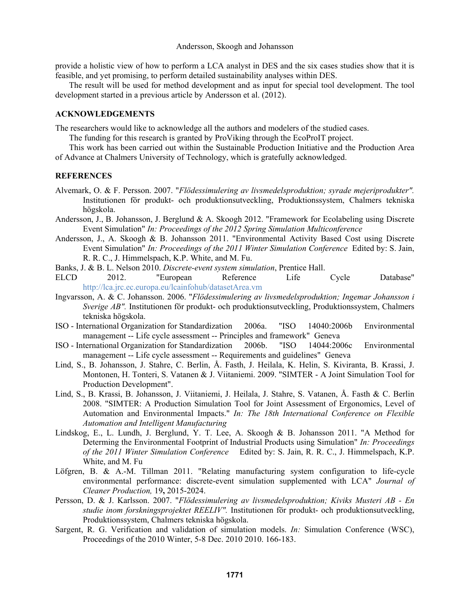provide a holistic view of how to perform a LCA analyst in DES and the six cases studies show that it is feasible, and yet promising, to perform detailed sustainability analyses within DES.

 The result will be used for method development and as input for special tool development. The tool development started in a previous article by Andersson et al. (2012).

#### **ACKNOWLEDGEMENTS**

The researchers would like to acknowledge all the authors and modelers of the studied cases.

The funding for this research is granted by ProViking through the EcoProIT project.

 This work has been carried out within the Sustainable Production Initiative and the Production Area of Advance at Chalmers University of Technology, which is gratefully acknowledged.

### **REFERENCES**

- Alvemark, O. & F. Persson. 2007. "*Flödessimulering av livsmedelsproduktion; syrade mejeriprodukter".* Institutionen för produkt- och produktionsutveckling, Produktionssystem, Chalmers tekniska högskola.
- Andersson, J., B. Johansson, J. Berglund & A. Skoogh 2012. "Framework for Ecolabeling using Discrete Event Simulation" *In: Proceedings of the 2012 Spring Simulation Multiconference*
- Andersson, J., A. Skoogh & B. Johansson 2011. "Environmental Activity Based Cost using Discrete Event Simulation" *In: Proceedings of the 2011 Winter Simulation Conference* Edited by: S. Jain, R. R. C., J. Himmelspach, K.P. White, and M. Fu.
- Banks, J. & B. L. Nelson 2010. *Discrete-event system simulation*, Prentice Hall.
- ELCD 2012. "European Reference Life Cycle Database" http://lca.jrc.ec.europa.eu/lcainfohub/datasetArea.vm
- Ingvarsson, A. & C. Johansson. 2006. "*Flödessimulering av livsmedelsproduktion; Ingemar Johansson i Sverige AB".* Institutionen för produkt- och produktionsutveckling, Produktionssystem, Chalmers tekniska högskola.
- ISO International Organization for Standardization 2006a. "ISO 14040:2006b Environmental management -- Life cycle assessment -- Principles and framework" Geneva
- ISO International Organization for Standardization 2006b. "ISO 14044:2006c Environmental management -- Life cycle assessment -- Requirements and guidelines" Geneva
- Lind, S., B. Johansson, J. Stahre, C. Berlin, Å. Fasth, J. Heilala, K. Helin, S. Kiviranta, B. Krassi, J. Montonen, H. Tonteri, S. Vatanen & J. Viitaniemi. 2009. "SIMTER - A Joint Simulation Tool for Production Development".
- Lind, S., B. Krassi, B. Johansson, J. Viitaniemi, J. Heilala, J. Stahre, S. Vatanen, Å. Fasth & C. Berlin 2008. "SIMTER: A Production Simulation Tool for Joint Assessment of Ergonomics, Level of Automation and Environmental Impacts." *In: The 18th International Conference on Flexible Automation and Intelligent Manufacturing*
- Lindskog, E., L. Lundh, J. Berglund, Y. T. Lee, A. Skoogh & B. Johansson 2011. "A Method for Determing the Environmental Footprint of Industrial Products using Simulation" *In: Proceedings of the 2011 Winter Simulation Conference* Edited by: S. Jain, R. R. C., J. Himmelspach, K.P. White, and M. Fu
- Löfgren, B. & A.-M. Tillman 2011. "Relating manufacturing system configuration to life-cycle environmental performance: discrete-event simulation supplemented with LCA" *Journal of Cleaner Production,* 19**,** 2015-2024.
- Persson, D. & J. Karlsson. 2007. "*Flödessimulering av livsmedelsproduktion; Kiviks Musteri AB En studie inom forskningsprojektet REELIV".* Institutionen för produkt- och produktionsutveckling, Produktionssystem, Chalmers tekniska högskola.
- Sargent, R. G. Verification and validation of simulation models. *In:* Simulation Conference (WSC), Proceedings of the 2010 Winter, 5-8 Dec. 2010 2010. 166-183.